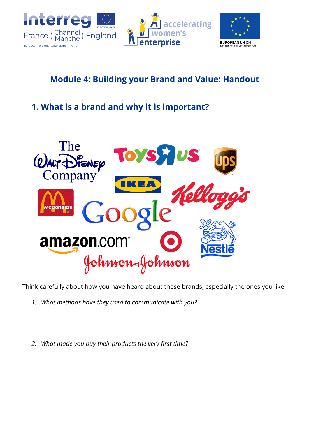





# **Module 4: Building your Brand and Value: Handout**

# **1. What is a brand and why it is important?**



Think carefully about how you have heard about these brands, especially the ones you like.

- *1. What methods have they used to communicate with you?*
- *2. What made you buy their products the very first time?*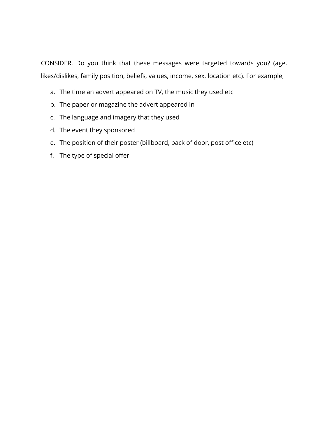CONSIDER. Do you think that these messages were targeted towards you? (age, likes/dislikes, family position, beliefs, values, income, sex, location etc). For example,

- a. The time an advert appeared on TV, the music they used etc
- b. The paper or magazine the advert appeared in
- c. The language and imagery that they used
- d. The event they sponsored
- e. The position of their poster (billboard, back of door, post office etc)
- f. The type of special offer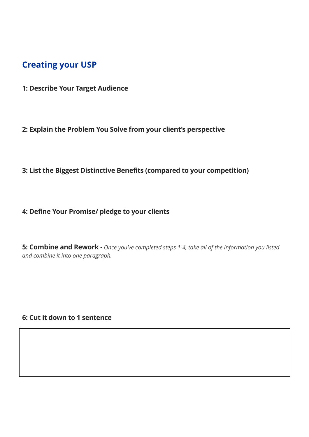### **Creating your USP**

- **1: Describe Your Target Audience**
- **2: Explain the Problem You Solve from your client's perspective**
- **3: List the Biggest Distinctive Benefits (compared to your competition)**
- **4: Define Your Promise/ pledge to your clients**

**5: Combine and Rework -** *Once you've completed steps 1-4, take all of the information you listed and combine it into one paragraph.* 

**6: Cut it down to 1 sentence**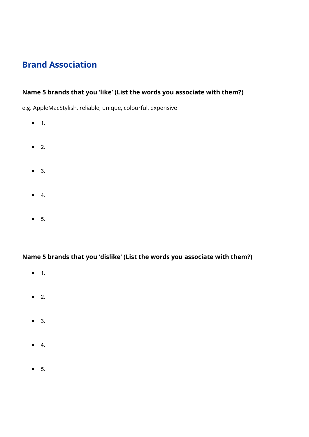## **Brand Association**

#### **Name 5 brands that you 'like' (List the words you associate with them?)**

e.g. AppleMacStylish, reliable, unique, colourful, expensive

- 1.
- $\bullet$  2.
- 3.
- $\bullet$  4.
- 5.

#### **Name 5 brands that you 'dislike' (List the words you associate with them?)**

- 1.
- 2.
- 3.
- $\bullet$  4.
- 5.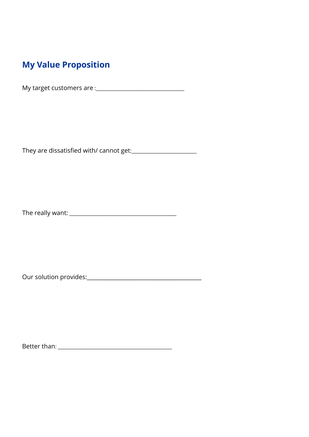## **My Value Proposition**

My target customers are :\_\_\_\_\_\_\_\_\_\_\_\_\_\_\_\_\_\_\_\_\_\_\_\_\_\_\_\_\_\_\_\_\_\_\_\_\_\_

They are dissatisfied with/ cannot get:\_\_\_\_\_\_\_\_\_\_\_\_\_\_\_\_\_\_\_\_\_\_\_\_\_\_\_\_

The really want: \_\_\_\_\_\_\_\_\_\_\_\_\_\_\_\_\_\_\_\_\_\_\_\_\_\_\_\_\_\_\_\_\_\_\_\_\_\_\_\_\_\_\_\_\_\_

Our solution provides:\_\_\_\_\_\_\_\_\_\_\_\_\_\_\_\_\_\_\_\_\_\_\_\_\_\_\_\_\_\_\_\_\_\_\_\_\_\_\_\_\_

Better than: \_\_\_\_\_\_\_\_\_\_\_\_\_\_\_\_\_\_\_\_\_\_\_\_\_\_\_\_\_\_\_\_\_\_\_\_\_\_\_\_\_\_\_\_\_\_\_\_\_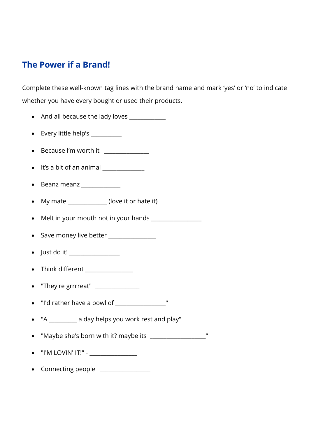### **The Power if a Brand!**

Complete these well-known tag lines with the brand name and mark 'yes' or 'no' to indicate whether you have every bought or used their products.

- And all because the lady loves
- Every little help's \_\_\_\_\_\_\_\_\_\_
- Because I'm worth it
- $\bullet$  It's a bit of an animal  $\qquad \qquad \qquad$
- Beanz meanz \_\_\_\_\_\_\_\_\_\_\_\_
- My mate (love it or hate it)
- Melt in your mouth not in your hands \_\_\_\_\_\_\_\_\_\_\_\_\_\_\_\_\_\_
- Save money live better
- $\bullet$  Just do it!
- Think different  $\sqrt{2}$
- "They're grrrreat"
- "I'd rather have a bowl of  $\Box$
- "A \_\_\_\_\_\_\_\_\_\_ a day helps you work rest and play"
- "Maybe she's born with it? maybe its \_\_\_\_\_\_\_\_\_\_\_\_\_\_\_\_\_\_\_\_"
- $\bullet$   $\blacksquare$  I'M LOVIN' IT!" -
- Connecting people \_\_\_\_\_\_\_\_\_\_\_\_\_\_\_\_\_\_\_